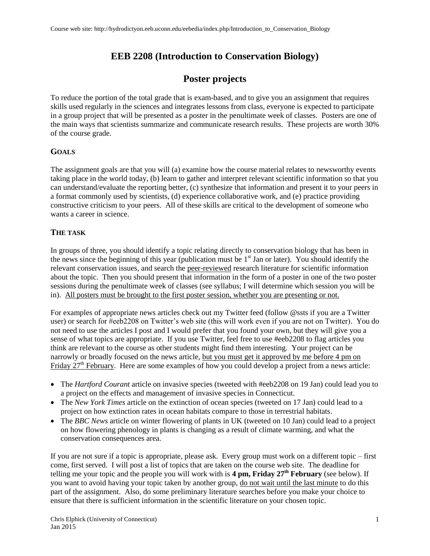# **EEB 2208 (Introduction to Conservation Biology)**

## **Poster projects**

To reduce the portion of the total grade that is exam-based, and to give you an assignment that requires skills used regularly in the sciences and integrates lessons from class, everyone is expected to participate in a group project that will be presented as a poster in the penultimate week of classes. Posters are one of the main ways that scientists summarize and communicate research results. These projects are worth 30% of the course grade.

### **GOALS**

The assignment goals are that you will (a) examine how the course material relates to newsworthy events taking place in the world today, (b) learn to gather and interpret relevant scientific information so that you can understand/evaluate the reporting better, (c) synthesize that information and present it to your peers in a format commonly used by scientists, (d) experience collaborative work, and (e) practice providing constructive criticism to your peers. All of these skills are critical to the development of someone who wants a career in science.

### **THE TASK**

In groups of three, you should identify a topic relating directly to conservation biology that has been in the news since the beginning of this year (publication must be 1<sup>st</sup> Jan or later). You should identify the relevant conservation issues, and search the peer-reviewed research literature for scientific information about the topic. Then you should present that information in the form of a poster in one of the two poster sessions during the penultimate week of classes (see syllabus; I will determine which session you will be in). All posters must be brought to the first poster session, whether you are presenting or not.

For examples of appropriate news articles check out my Twitter feed (follow @ssts if you are a Twitter user) or search for #eeb2208 on Twitter's web site (this will work even if you are not on Twitter). You do not need to use the articles I post and I would prefer that you found your own, but they will give you a sense of what topics are appropriate. If you use Twitter, feel free to use #eeb2208 to flag articles you think are relevant to the course as other students might find them interesting. Your project can be narrowly or broadly focused on the news article, but you must get it approved by me before 4 pm on Friday 27<sup>th</sup> February. Here are some examples of how you could develop a project from a news article:

- The *Hartford Courant* article on invasive species (tweeted with #eeb2208 on 19 Jan) could lead you to a project on the effects and management of invasive species in Connecticut.
- The *New York Times* article on the extinction of ocean species (tweeted on 17 Jan) could lead to a project on how extinction rates in ocean habitats compare to those in terrestrial habitats.
- The *BBC News* article on winter flowering of plants in UK (tweeted on 10 Jan) could lead to a project on how flowering phenology in plants is changing as a result of climate warming, and what the conservation consequences area.

If you are not sure if a topic is appropriate, please ask. Every group must work on a different topic – first come, first served. I will post a list of topics that are taken on the course web site. The deadline for telling me your topic and the people you will work with is **4 pm, Friday 27th February** (see below). If you want to avoid having your topic taken by another group, do not wait until the last minute to do this part of the assignment. Also, do some preliminary literature searches before you make your choice to ensure that there is sufficient information in the scientific literature on your chosen topic.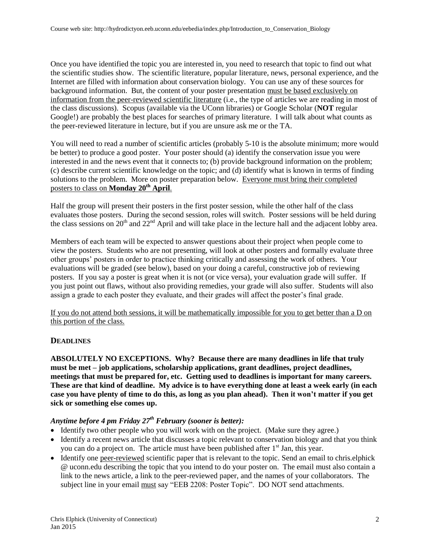Once you have identified the topic you are interested in, you need to research that topic to find out what the scientific studies show. The scientific literature, popular literature, news, personal experience, and the Internet are filled with information about conservation biology. You can use any of these sources for background information. But, the content of your poster presentation must be based exclusively on information from the peer-reviewed scientific literature (i.e., the type of articles we are reading in most of the class discussions). Scopus (available via the UConn libraries) or Google Scholar (**NOT** regular Google!) are probably the best places for searches of primary literature. I will talk about what counts as the peer-reviewed literature in lecture, but if you are unsure ask me or the TA.

You will need to read a number of scientific articles (probably 5-10 is the absolute minimum; more would be better) to produce a good poster. Your poster should (a) identify the conservation issue you were interested in and the news event that it connects to; (b) provide background information on the problem; (c) describe current scientific knowledge on the topic; and (d) identify what is known in terms of finding solutions to the problem. More on poster preparation below. Everyone must bring their completed posters to class on **Monday 20 th April**.

Half the group will present their posters in the first poster session, while the other half of the class evaluates those posters. During the second session, roles will switch. Poster sessions will be held during the class sessions on  $20<sup>th</sup>$  and  $22<sup>nd</sup>$  April and will take place in the lecture hall and the adjacent lobby area.

Members of each team will be expected to answer questions about their project when people come to view the posters. Students who are not presenting, will look at other posters and formally evaluate three other groups' posters in order to practice thinking critically and assessing the work of others. Your evaluations will be graded (see below), based on your doing a careful, constructive job of reviewing posters. If you say a poster is great when it is not (or vice versa), your evaluation grade will suffer. If you just point out flaws, without also providing remedies, your grade will also suffer. Students will also assign a grade to each poster they evaluate, and their grades will affect the poster's final grade.

If you do not attend both sessions, it will be mathematically impossible for you to get better than a D on this portion of the class.

### **DEADLINES**

**ABSOLUTELY NO EXCEPTIONS. Why? Because there are many deadlines in life that truly must be met – job applications, scholarship applications, grant deadlines, project deadlines, meetings that must be prepared for, etc. Getting used to deadlines is important for many careers. These are that kind of deadline. My advice is to have everything done at least a week early (in each case you have plenty of time to do this, as long as you plan ahead). Then it won't matter if you get sick or something else comes up.**

### *Anytime before 4 pm Friday 27 th February (sooner is better):*

- Identify two other people who you will work with on the project. (Make sure they agree.)
- Identify a recent news article that discusses a topic relevant to conservation biology and that you think you can do a project on. The article must have been published after  $1<sup>st</sup>$  Jan, this year.
- Identify one peer-reviewed scientific paper that is relevant to the topic. Send an email to chris.elphick @ uconn.edu describing the topic that you intend to do your poster on. The email must also contain a link to the news article, a link to the peer-reviewed paper, and the names of your collaborators. The subject line in your email must say "EEB 2208: Poster Topic". DO NOT send attachments.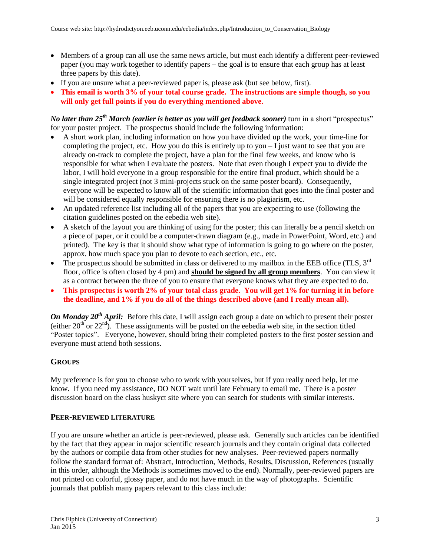- Members of a group can all use the same news article, but must each identify a different peer-reviewed paper (you may work together to identify papers – the goal is to ensure that each group has at least three papers by this date).
- If you are unsure what a peer-reviewed paper is, please ask (but see below, first).
- **This email is worth 3% of your total course grade. The instructions are simple though, so you will only get full points if you do everything mentioned above.**

*No later than 25 th March (earlier is better as you will get feedback sooner)* turn in a short "prospectus" for your poster project. The prospectus should include the following information:

- A short work plan, including information on how you have divided up the work, your time-line for completing the project, etc. How you do this is entirely up to you  $-I$  just want to see that you are already on-track to complete the project, have a plan for the final few weeks, and know who is responsible for what when I evaluate the posters. Note that even though I expect you to divide the labor, I will hold everyone in a group responsible for the entire final product, which should be a single integrated project (not 3 mini-projects stuck on the same poster board). Consequently, everyone will be expected to know all of the scientific information that goes into the final poster and will be considered equally responsible for ensuring there is no plagiarism, etc.
- An updated reference list including all of the papers that you are expecting to use (following the citation guidelines posted on the eebedia web site).
- A sketch of the layout you are thinking of using for the poster; this can literally be a pencil sketch on a piece of paper, or it could be a computer-drawn diagram (e.g., made in PowerPoint, Word, etc.) and printed). The key is that it should show what type of information is going to go where on the poster, approx. how much space you plan to devote to each section, etc., etc.
- The prospectus should be submitted in class or delivered to my mailbox in the EEB office (TLS,  $3<sup>rd</sup>$ floor, office is often closed by 4 pm) and **should be signed by all group members**. You can view it as a contract between the three of you to ensure that everyone knows what they are expected to do.
- **This prospectus is worth 2% of your total class grade. You will get 1% for turning it in before the deadline, and 1% if you do all of the things described above (and I really mean all).**

*On Monday* 20<sup>th</sup> *April:* Before this date, I will assign each group a date on which to present their poster (either  $20<sup>th</sup>$  or  $22<sup>nd</sup>$ ). These assignments will be posted on the eebedia web site, in the section titled "Poster topics". Everyone, however, should bring their completed posters to the first poster session and everyone must attend both sessions.

### **GROUPS**

My preference is for you to choose who to work with yourselves, but if you really need help, let me know. If you need my assistance, DO NOT wait until late February to email me. There is a poster discussion board on the class huskyct site where you can search for students with similar interests.

#### **PEER-REVIEWED LITERATURE**

If you are unsure whether an article is peer-reviewed, please ask. Generally such articles can be identified by the fact that they appear in major scientific research journals and they contain original data collected by the authors or compile data from other studies for new analyses. Peer-reviewed papers normally follow the standard format of: Abstract, Introduction, Methods, Results, Discussion, References (usually in this order, although the Methods is sometimes moved to the end). Normally, peer-reviewed papers are not printed on colorful, glossy paper, and do not have much in the way of photographs. Scientific journals that publish many papers relevant to this class include: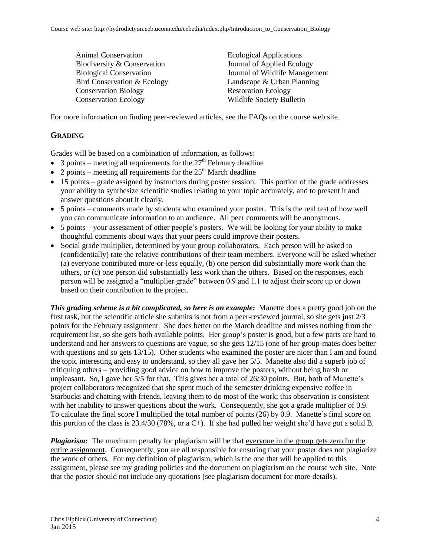Animal Conservation Biodiversity & Conservation Biological Conservation Bird Conservation & Ecology Conservation Biology Conservation Ecology

Ecological Applications Journal of Applied Ecology Journal of Wildlife Management Landscape & Urban Planning Restoration Ecology Wildlife Society Bulletin

For more information on finding peer-reviewed articles, see the FAQs on the course web site.

## **GRADING**

Grades will be based on a combination of information, as follows:

- 3 points meeting all requirements for the  $27<sup>th</sup>$  February deadline
- 2 points meeting all requirements for the  $25<sup>th</sup>$  March deadline
- 15 points grade assigned by instructors during poster session. This portion of the grade addresses your ability to synthesize scientific studies relating to your topic accurately, and to present it and answer questions about it clearly.
- 5 points comments made by students who examined your poster. This is the real test of how well you can communicate information to an audience. All peer comments will be anonymous.
- 5 points your assessment of other people's posters. We will be looking for your ability to make thoughtful comments about ways that your peers could improve their posters.
- Social grade multiplier, determined by your group collaborators. Each person will be asked to (confidentially) rate the relative contributions of their team members. Everyone will be asked whether (a) everyone contributed more-or-less equally, (b) one person did substantially more work than the others, or (c) one person did substantially less work than the others. Based on the responses, each person will be assigned a "multiplier grade" between 0.9 and 1.1 to adjust their score up or down based on their contribution to the project.

*This grading scheme is a bit complicated, so here is an example:* Manette does a pretty good job on the first task, but the scientific article she submits is not from a peer-reviewed journal, so she gets just 2/3 points for the February assignment. She does better on the March deadline and misses nothing from the requirement list, so she gets both available points. Her group's poster is good, but a few parts are hard to understand and her answers to questions are vague, so she gets 12/15 (one of her group-mates does better with questions and so gets 13/15). Other students who examined the poster are nicer than I am and found the topic interesting and easy to understand, so they all gave her 5/5. Manette also did a superb job of critiquing others – providing good advice on how to improve the posters, without being harsh or unpleasant. So, I gave her 5/5 for that. This gives her a total of 26/30 points. But, both of Manette's project collaborators recognized that she spent much of the semester drinking expensive coffee in Starbucks and chatting with friends, leaving them to do most of the work; this observation is consistent with her inability to answer questions about the work. Consequently, she got a grade multiplier of 0.9. To calculate the final score I multiplied the total number of points (26) by 0.9. Manette's final score on this portion of the class is  $23.4/30$  (78%, or a C+). If she had pulled her weight she'd have got a solid B.

*Plagiarism:* The maximum penalty for plagiarism will be that everyone in the group gets zero for the entire assignment. Consequently, you are all responsible for ensuring that your poster does not plagiarize the work of others. For my definition of plagiarism, which is the one that will be applied to this assignment, please see my grading policies and the document on plagiarism on the course web site. Note that the poster should not include any quotations (see plagiarism document for more details).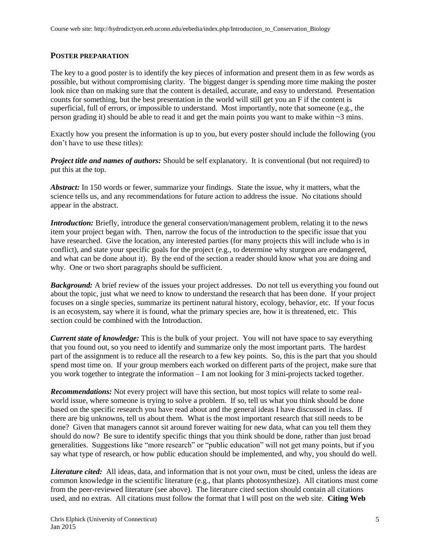#### **POSTER PREPARATION**

The key to a good poster is to identify the key pieces of information and present them in as few words as possible, but without compromising clarity. The biggest danger is spending more time making the poster look nice than on making sure that the content is detailed, accurate, and easy to understand. Presentation counts for something, but the best presentation in the world will still get you an F if the content is superficial, full of errors, or impossible to understand. Most importantly, note that someone (e.g., the person grading it) should be able to read it and get the main points you want to make within  $\sim$ 3 mins.

Exactly how you present the information is up to you, but every poster should include the following (you don't have to use these titles):

*Project title and names of authors:* Should be self explanatory. It is conventional (but not required) to put this at the top.

*Abstract:* In 150 words or fewer, summarize your findings. State the issue, why it matters, what the science tells us, and any recommendations for future action to address the issue. No citations should appear in the abstract.

*Introduction:* Briefly, introduce the general conservation/management problem, relating it to the news item your project began with. Then, narrow the focus of the introduction to the specific issue that you have researched. Give the location, any interested parties (for many projects this will include who is in conflict), and state your specific goals for the project (e.g., to determine why sturgeon are endangered, and what can be done about it). By the end of the section a reader should know what you are doing and why. One or two short paragraphs should be sufficient.

*Background:* A brief review of the issues your project addresses. Do not tell us everything you found out about the topic, just what we need to know to understand the research that has been done. If your project focuses on a single species, summarize its pertinent natural history, ecology, behavior, etc. If your focus is an ecosystem, say where it is found, what the primary species are, how it is threatened, etc. This section could be combined with the Introduction.

*Current state of knowledge:* This is the bulk of your project. You will not have space to say everything that you found out, so you need to identify and summarize only the most important parts. The hardest part of the assignment is to reduce all the research to a few key points. So, this is the part that you should spend most time on. If your group members each worked on different parts of the project, make sure that you work together to integrate the information – I am not looking for 3 mini-projects tacked together.

*Recommendations:* Not every project will have this section, but most topics will relate to some realworld issue, where someone is trying to solve a problem. If so, tell us what you think should be done based on the specific research you have read about and the general ideas I have discussed in class. If there are big unknowns, tell us about them. What is the most important research that still needs to be done? Given that managers cannot sit around forever waiting for new data, what can you tell them they should do now? Be sure to identify specific things that you think should be done, rather than just broad generalities. Suggestions like "more research" or "public education" will not get many points, but if you say what type of research, or how public education should be implemented, and why, you should do well.

*Literature cited:* All ideas, data, and information that is not your own, must be cited, unless the ideas are common knowledge in the scientific literature (e.g., that plants photosynthesize). All citations must come from the peer-reviewed literature (see above). The literature cited section should contain all citations used, and no extras. All citations must follow the format that I will post on the web site. **Citing Web**